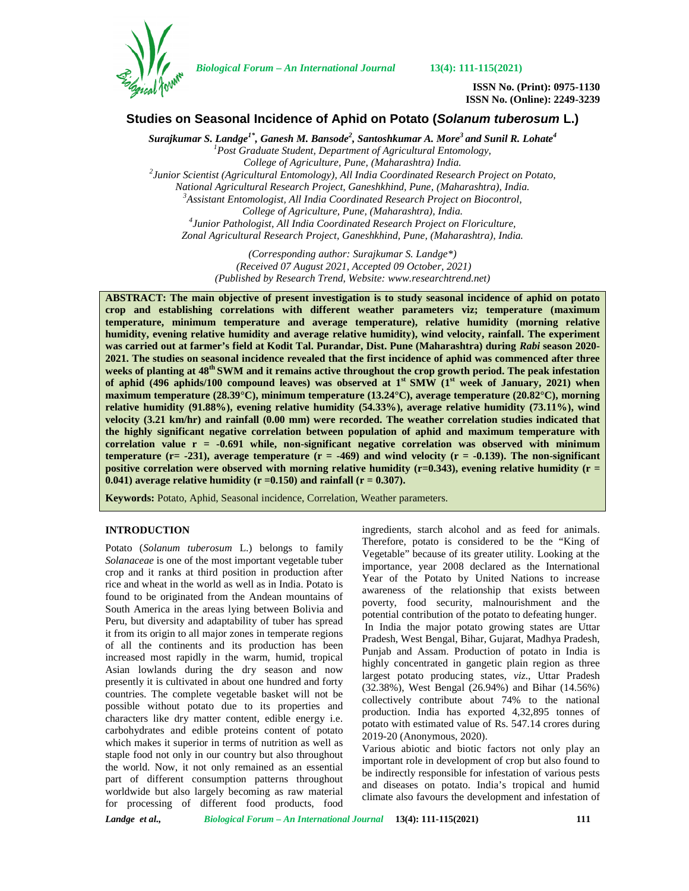

*Biological Forum – An International Journal* **13(4): 111-115(2021)**

**ISSN No. (Print): 0975-1130 ISSN No. (Online): 2249-3239**

# **Studies on Seasonal Incidence of Aphid on Potato (***Solanum tuberosum* **L.)**

*Surajkumar S. Landge1\* , Ganesh M. Bansode<sup>2</sup> , Santoshkumar A. More <sup>3</sup> and Sunil R. Lohate<sup>4</sup> <sup>1</sup>Post Graduate Student, Department of Agricultural Entomology, College of Agriculture, Pune, (Maharashtra) India. <sup>2</sup>Junior Scientist (Agricultural Entomology), All India Coordinated Research Project on Potato, National Agricultural Research Project, Ganeshkhind, Pune, (Maharashtra), India. <sup>3</sup>Assistant Entomologist, All India Coordinated Research Project on Biocontrol, College of Agriculture, Pune, (Maharashtra), India. <sup>4</sup>Junior Pathologist, All India Coordinated Research Project on Floriculture, Zonal Agricultural Research Project, Ganeshkhind, Pune, (Maharashtra), India.*

> *(Corresponding author: Surajkumar S. Landge\*) (Received 07 August 2021, Accepted 09 October, 2021) (Published by Research Trend, Website: [www.researchtrend.net\)](www.researchtrend.net)*

**ABSTRACT: The main objective of present investigation is to study seasonal incidence of aphid on potato crop and establishing correlations with different weather parameters viz; temperature (maximum temperature, minimum temperature and average temperature), relative humidity (morning relative humidity, evening relative humidity and average relative humidity), wind velocity, rainfall. The experiment was carried out at farmer's field at Kodit Tal. Purandar, Dist. Pune (Maharashtra) during** *Rabi* **season 2020- 2021. The studies on seasonal incidence revealed that the first incidence of aphid was commenced after three weeks of planting at 48th SWM and it remains active throughout the crop growth period. The peak infestation of aphid (496 aphids/100 compound leaves) was observed at 1st SMW (1st week of January, 2021) when maximum temperature (28.39°C), minimum temperature (13.24°C), average temperature (20.82°C), morning relative humidity (91.88%), evening relative humidity (54.33%), average relative humidity (73.11%), wind velocity (3.21 km/hr) and rainfall (0.00 mm) were recorded. The weather correlation studies indicated that the highly significant negative correlation between population of aphid and maximum temperature with correlation value r = -0.691 while, non-significant negative correlation was observed with minimum temperature (r= -231), average temperature (r = -469) and wind velocity (r = -0.139). The non-significant positive correlation were observed with morning relative humidity (r=0.343), evening relative humidity (r =**  $0.041$ ) average relative humidity ( $r = 0.150$ ) and rainfall ( $r = 0.307$ ).

**Keywords:** Potato, Aphid, Seasonal incidence, Correlation, Weather parameters.

## **INTRODUCTION**

Potato (*Solanum tuberosum* L.) belongs to family *Solanaceae* is one of the most important vegetable tuber crop and it ranks at third position in production after rice and wheat in the world as well as in India. Potato is found to be originated from the Andean mountains of South America in the areas lying between Bolivia and Peru, but diversity and adaptability of tuber has spread it from its origin to all major zones in temperate regions of all the continents and its production has been increased most rapidly in the warm, humid, tropical Asian lowlands during the dry season and now presently it is cultivated in about one hundred and forty countries. The complete vegetable basket will not be possible without potato due to its properties and characters like dry matter content, edible energy i.e. carbohydrates and edible proteins content of potato which makes it superior in terms of nutrition as well as staple food not only in our country but also throughout the world. Now, it not only remained as an essential part of different consumption patterns throughout worldwide but also largely becoming as raw material for processing of different food products, food ingredients, starch alcohol and as feed for animals. Therefore, potato is considered to be the "King of Vegetable" because of its greater utility. Looking at the importance, year 2008 declared as the International Year of the Potato by United Nations to increase awareness of the relationship that exists between poverty, food security, malnourishment and the potential contribution of the potato to defeating hunger. In India the major potato growing states are Uttar Pradesh, West Bengal, Bihar, Gujarat, Madhya Pradesh, Punjab and Assam. Production of potato in India is highly concentrated in gangetic plain region as three largest potato producing states, *viz*., Uttar Pradesh (32.38%), West Bengal (26.94%) and Bihar (14.56%) collectively contribute about 74% to the national production. India has exported 4,32,895 tonnes of potato with estimated value of Rs. 547.14 crores during 2019-20 (Anonymous, 2020).

Various abiotic and biotic factors not only play an important role in development of crop but also found to be indirectly responsible for infestation of various pests and diseases on potato. India's tropical and humid climate also favours the development and infestation of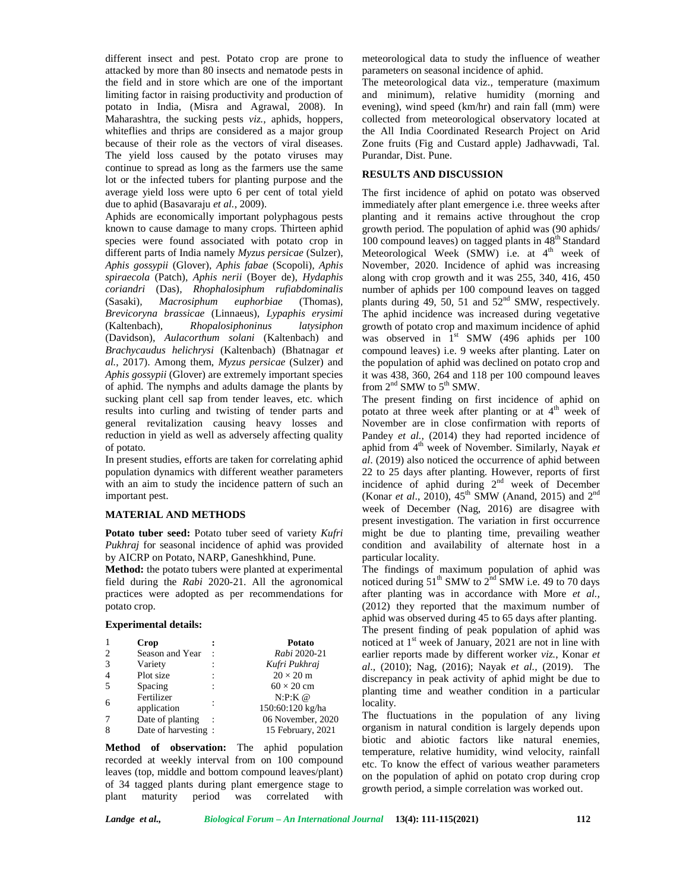different insect and pest. Potato crop are prone to attacked by more than 80 insects and nematode pests in the field and in store which are one of the important limiting factor in raising productivity and production of potato in India, (Misra and Agrawal, 2008). In Maharashtra, the sucking pests *viz.*, aphids, hoppers, whiteflies and thrips are considered as a major group because of their role as the vectors of viral diseases. The yield loss caused by the potato viruses may continue to spread as long as the farmers use the same lot or the infected tubers for planting purpose and the average yield loss were upto 6 per cent of total yield due to aphid (Basavaraju *et al.*, 2009).

Aphids are economically important polyphagous pests known to cause damage to many crops. Thirteen aphid species were found associated with potato crop in different parts of India namely *Myzus persicae* (Sulzer), *Aphis gossypii* (Glover)*, Aphis fabae* (Scopoli)*, Aphis spiraecola* (Patch)*, Aphis nerii* (Boyer de)*, Hydaphis coriandri* (Das)*, Rhophalosiphum rufiabdominalis* (Sasaki)*, Macrosiphum euphorbiae* (Thomas)*, Brevicoryna brassicae* (Linnaeus)*, Lypaphis erysimi* (Kaltenbach)*, Rhopalosiphoninus latysiphon* (Davidson)*, Aulacorthum solani* (Kaltenbach) and *Brachycaudus helichrysi* (Kaltenbach) (Bhatnagar *et al.*, 2017). Among them, *Myzus persicae* (Sulzer) and *Aphis gossypii* (Glover) are extremely important species of aphid. The nymphs and adults damage the plants by sucking plant cell sap from tender leaves, etc. which results into curling and twisting of tender parts and general revitalization causing heavy losses and reduction in yield as well as adversely affecting quality of potato.

In present studies, efforts are taken for correlating aphid population dynamics with different weather parameters with an aim to study the incidence pattern of such an important pest.

## **MATERIAL AND METHODS**

**Potato tuber seed:** Potato tuber seed of variety *Kufri Pukhraj* for seasonal incidence of aphid was provided by AICRP on Potato, NARP, Ganeshkhind, Pune.

**Method:** the potato tubers were planted at experimental field during the *Rabi* 2020-21. All the agronomical practices were adopted as per recommendations for potato crop.

#### **Experimental details:**

| -1             | Crop                |                      | Potato            | noti |
|----------------|---------------------|----------------------|-------------------|------|
| 2              | Season and Year     | $\ddot{\phantom{0}}$ | Rabi 2020-21      | earl |
| 3              | Variety             |                      | Kufri Pukhraj     | al., |
| $\overline{4}$ | Plot size           |                      | $20 \times 20$ m  | disc |
| 5              | Spacing             |                      | $60 \times 20$ cm | plan |
| 6              | Fertilizer          |                      | $N:P:K\omega$     |      |
|                | application         |                      | 150:60:120 kg/ha  | loca |
| 7              | Date of planting    |                      | 06 November, 2020 | The  |
| 8              | Date of harvesting: |                      | 15 February, 2021 | orga |

**Method of observation:** The aphid population recorded at weekly interval from on 100 compound leaves (top, middle and bottom compound leaves/plant) of 34 tagged plants during plant emergence stage to plant maturity period was correlated with meteorological data to study the influence of weather parameters on seasonal incidence of aphid.

The meteorological data viz., temperature (maximum and minimum), relative humidity (morning and evening), wind speed (km/hr) and rain fall (mm) were collected from meteorological observatory located at the All India Coordinated Research Project on Arid Zone fruits (Fig and Custard apple) Jadhavwadi, Tal. Purandar, Dist. Pune.

## **RESULTS AND DISCUSSION**

The first incidence of aphid on potato was observed immediately after plant emergence i.e. three weeks after planting and it remains active throughout the crop growth period. The population of aphid was (90 aphids/ 100 compound leaves) on tagged plants in  $48<sup>th</sup>$  Standard Meteorological Week (SMW) i.e. at  $4<sup>th</sup>$  week of November, 2020. Incidence of aphid was increasing along with crop growth and it was 255, 340, 416, 450 number of aphids per 100 compound leaves on tagged plants during 49, 50, 51 and  $52<sup>nd</sup>$  SMW, respectively. The aphid incidence was increased during vegetative growth of potato crop and maximum incidence of aphid was observed in  $1<sup>st</sup>$  SMW (496 aphids per 100 compound leaves) i.e. 9 weeks after planting. Later on the population of aphid was declined on potato crop and it was 438, 360, 264 and 118 per 100 compound leaves from  $2<sup>nd</sup>$  SMW to  $5<sup>th</sup>$  SMW.

The present finding on first incidence of aphid on potato at three week after planting or at  $4<sup>th</sup>$  week of November are in close confirmation with reports of Pandey *et al.*, (2014) they had reported incidence of aphid from 4<sup>th</sup> week of November. Similarly, Nayak et *al*. (2019) also noticed the occurrence of aphid between 22 to 25 days after planting. However, reports of first incidence of aphid during 2nd week of December (Konar *et al.*, 2010), 45<sup>th</sup> SMW (Anand, 2015) and  $2^{nd}$ week of December (Nag, 2016) are disagree with present investigation. The variation in first occurrence might be due to planting time, prevailing weather condition and availability of alternate host in a particular locality.

The findings of maximum population of aphid was noticed during  $51<sup>th</sup>$  SMW to  $2<sup>nd</sup>$  SMW i.e. 49 to 70 days after planting was in accordance with More *et al.,* (2012) they reported that the maximum number of aphid was observed during 45 to 65 days after planting. The present finding of peak population of aphid was noticed at 1<sup>st</sup> week of January, 2021 are not in line with earlier reports made by different worker *viz.*, Konar *et al*., (2010); Nag, (2016); Nayak *et al.,* (2019). The discrepancy in peak activity of aphid might be due to planting time and weather condition in a particular locality.

The fluctuations in the population of any living organism in natural condition is largely depends upon biotic and abiotic factors like natural enemies, temperature, relative humidity, wind velocity, rainfall etc. To know the effect of various weather parameters on the population of aphid on potato crop during crop growth period, a simple correlation was worked out.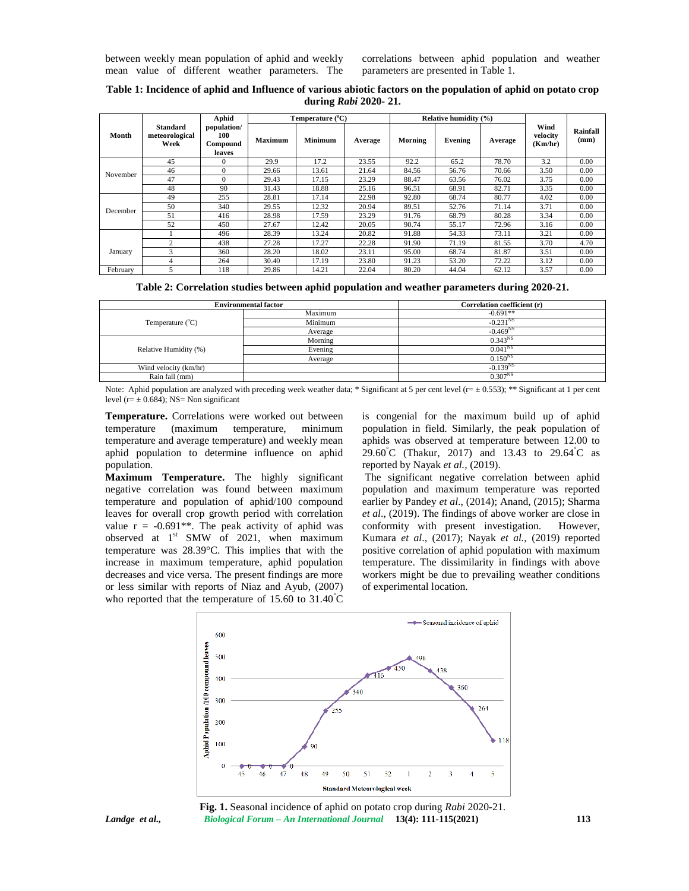between weekly mean population of aphid and weekly mean value of different weather parameters. The

correlations between aphid population and weather parameters are presented in Table 1.

| Table 1: Incidence of aphid and Influence of various abiotic factors on the population of aphid on potato crop |
|----------------------------------------------------------------------------------------------------------------|
| during <i>Rabi</i> 2020-21.                                                                                    |

|          |                                           | Aphid                                    | Temperature $(^{\circ}C)$ |                |         | Relative humidity (%) |         |         |                             |                  |
|----------|-------------------------------------------|------------------------------------------|---------------------------|----------------|---------|-----------------------|---------|---------|-----------------------------|------------------|
| Month    | <b>Standard</b><br>meteorological<br>Week | population/<br>100<br>Compound<br>leaves | Maximum                   | <b>Minimum</b> | Average | Morning               | Evening | Average | Wind<br>velocity<br>(Km/hr) | Rainfall<br>(mm) |
|          | 45                                        | $\Omega$                                 | 29.9                      | 17.2           | 23.55   | 92.2                  | 65.2    | 78.70   | 3.2                         | 0.00             |
|          | 46                                        | $\Omega$                                 | 29.66                     | 13.61          | 21.64   | 84.56                 | 56.76   | 70.66   | 3.50                        | 0.00             |
| November | 47                                        |                                          | 29.43                     | 17.15          | 23.29   | 88.47                 | 63.56   | 76.02   | 3.75                        | 0.00             |
|          | 48                                        | 90                                       | 31.43                     | 18.88          | 25.16   | 96.51                 | 68.91   | 82.71   | 3.35                        | 0.00             |
|          | 49                                        | 255                                      | 28.81                     | 17.14          | 22.98   | 92.80                 | 68.74   | 80.77   | 4.02                        | 0.00             |
|          | 50                                        | 340                                      | 29.55                     | 12.32          | 20.94   | 89.51                 | 52.76   | 71.14   | 3.71                        | 0.00             |
| December | 51                                        | 416                                      | 28.98                     | 17.59          | 23.29   | 91.76                 | 68.79   | 80.28   | 3.34                        | 0.00             |
|          | 52                                        | 450                                      | 27.67                     | 12.42          | 20.05   | 90.74                 | 55.17   | 72.96   | 3.16                        | 0.00             |
|          |                                           | 496                                      | 28.39                     | 13.24          | 20.82   | 91.88                 | 54.33   | 73.11   | 3.21                        | 0.00             |
|          | $\overline{c}$                            | 438                                      | 27.28                     | 17.27          | 22.28   | 91.90                 | 71.19   | 81.55   | 3.70                        | 4.70             |
| January  | 3                                         | 360                                      | 28.20                     | 18.02          | 23.11   | 95.00                 | 68.74   | 81.87   | 3.51                        | 0.00             |
|          | 4                                         | 264                                      | 30.40                     | 17.19          | 23.80   | 91.23                 | 53.20   | 72.22   | 3.12                        | 0.00             |
| February | 5                                         | 118                                      | 29.86                     | 14.21          | 22.04   | 80.20                 | 44.04   | 62.12   | 3.57                        | 0.00             |

|  |  |  |  |  |  |  | Table 2: Correlation studies between aphid population and weather parameters during 2020-21. |  |
|--|--|--|--|--|--|--|----------------------------------------------------------------------------------------------|--|
|--|--|--|--|--|--|--|----------------------------------------------------------------------------------------------|--|

|                           | <b>Environmental factor</b> | Correlation coefficient (r) |
|---------------------------|-----------------------------|-----------------------------|
|                           | Maximum                     | $-0.691**$                  |
| Temperature $(^{\circ}C)$ | Minimum                     | $-0.231^{NS}$               |
|                           | Average                     | $-0.469^{NS}$               |
|                           | Morning                     | $0.343^{NS}$                |
| Relative Humidity (%)     | Evening                     | $0.041^{NS}$                |
|                           | Average                     | $0.150^{NS}$                |
| Wind velocity (km/hr)     |                             | $-0.139NS$                  |
| Rain fall (mm)            |                             | $0.307^{NS}$                |

Note: Aphid population are analyzed with preceding week weather data; \* Significant at 5 per cent level ( $r = \pm 0.553$ ); \*\* Significant at 1 per cent level ( $r = \pm 0.684$ ); NS= Non significant

**Temperature.** Correlations were worked out between temperature (maximum temperature, minimum temperature and average temperature) and weekly mean aphid population to determine influence on aphid population.

**Maximum Temperature.** The highly significant negative correlation was found between maximum temperature and population of aphid/100 compound leaves for overall crop growth period with correlation value  $r = -0.691**$ . The peak activity of aphid was observed at  $1<sup>st</sup>$  SMW of 2021, when maximum temperature was 28.39°C. This implies that with the increase in maximum temperature, aphid population decreases and vice versa. The present findings are more or less similar with reports of Niaz and Ayub, (2007) who reported that the temperature of 15.60 to 31.40°C is congenial for the maximum build up of aphid population in field. Similarly, the peak population of aphids was observed at temperature between 12.00 to 29.60°C (Thakur, 2017) and 13.43 to 29.64°C as reported by Nayak *et al.,* (2019).

The significant negative correlation between aphid population and maximum temperature was reported earlier by Pandey *et al*., (2014); Anand, (2015); Sharma *et al*., (2019). The findings of above worker are close in conformity with present investigation. However, Kumara *et al*., (2017); Nayak *et al.,* (2019) reported positive correlation of aphid population with maximum temperature. The dissimilarity in findings with above workers might be due to prevailing weather conditions of experimental location.



*Landge et al., Biological Forum – An International Journal* **13(4): 111-115(2021) 113 Fig. 1.** Seasonal incidence of aphid on potato crop during *Rabi* 2020-21.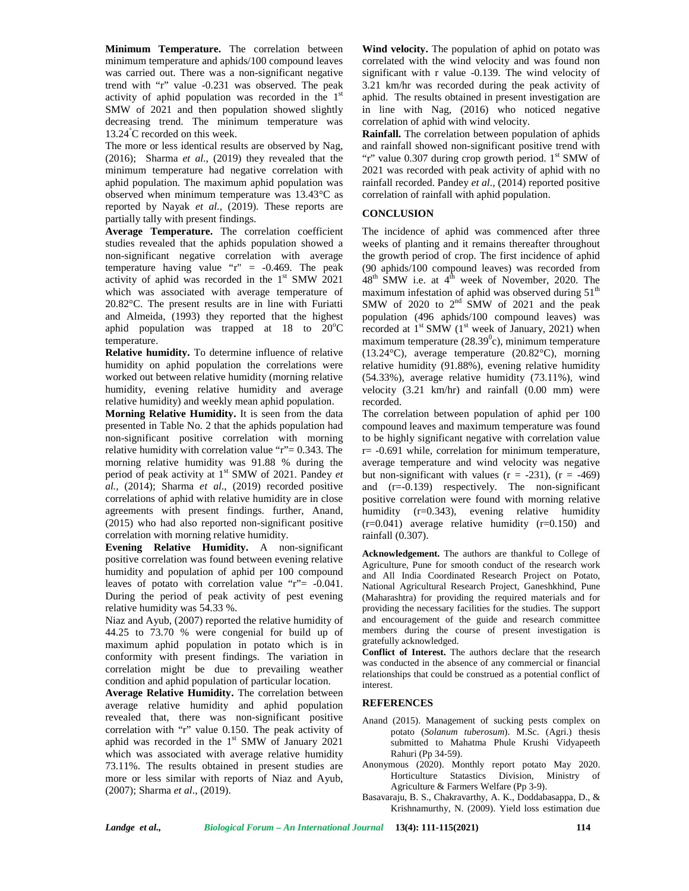**Minimum Temperature.** The correlation between minimum temperature and aphids/100 compound leaves was carried out. There was a non-significant negative trend with "r" value -0.231 was observed. The peak activity of aphid population was recorded in the 1<sup>st</sup> aphi SMW of 2021 and then population showed slightly decreasing trend. The minimum temperature was 13.24°C recorded on this week.

The more or less identical results are observed by Nag, (2016); Sharma *et al*., (2019) they revealed that the minimum temperature had negative correlation with aphid population. The maximum aphid population was observed when minimum temperature was 13.43°C as reported by Nayak *et al.,* (2019). These reports are partially tally with present findings.

**Average Temperature.** The correlation coefficient studies revealed that the aphids population showed a non-significant negative correlation with average temperature having value " $r$ " = -0.469. The peak activity of aphid was recorded in the  $1<sup>st</sup>$  SMW 2021 48<sup>th</sup> 9 which was associated with average temperature of 20.82°C. The present results are in line with Furiatti and Almeida, (1993) they reported that the highest aphid population was trapped at  $18$  to  $20^{\circ}$ C temperature.

**Relative humidity.** To determine influence of relative humidity on aphid population the correlations were worked out between relative humidity (morning relative humidity, evening relative humidity and average relative humidity) and weekly mean aphid population.

**Morning Relative Humidity.** It is seen from the data presented in Table No. 2 that the aphids population had non-significant positive correlation with morning relative humidity with correlation value "r"= 0.343. The morning relative humidity was 91.88 % during the period of peak activity at 1<sup>st</sup> SMW of 2021. Pandey *et al.,* (2014); Sharma *et al*., (2019) recorded positive correlations of aphid with relative humidity are in close agreements with present findings. further, Anand, (2015) who had also reported non-significant positive correlation with morning relative humidity.

**Evening Relative Humidity.** A non-significant positive correlation was found between evening relative humidity and population of aphid per 100 compound leaves of potato with correlation value "r"= -0.041. During the period of peak activity of pest evening relative humidity was 54.33 %.

Niaz and Ayub, (2007) reported the relative humidity of 44.25 to 73.70 % were congenial for build up of maximum aphid population in potato which is in conformity with present findings. The variation in correlation might be due to prevailing weather condition and aphid population of particular location.

**Average Relative Humidity.** The correlation between average relative humidity and aphid population revealed that, there was non-significant positive correlation with "r" value 0.150. The peak activity of aphid was recorded in the  $1<sup>st</sup>$  SMW of January 2021 which was associated with average relative humidity 73.11%. The results obtained in present studies are more or less similar with reports of Niaz and Ayub, (2007); Sharma *et al*., (2019).

**Wind velocity.** The population of aphid on potato was correlated with the wind velocity and was found non significant with r value -0.139. The wind velocity of 3.21 km/hr was recorded during the peak activity of aphid. The results obtained in present investigation are in line with Nag, (2016) who noticed negative correlation of aphid with wind velocity.

**Rainfall.** The correlation between population of aphids and rainfall showed non-significant positive trend with "r" value  $0.307$  during crop growth period.  $1<sup>st</sup>$  SMW of 2021 was recorded with peak activity of aphid with no rainfall recorded. Pandey *et al.,* (2014) reported positive correlation of rainfall with aphid population.

## **CONCLUSION**

The incidence of aphid was commenced after three weeks of planting and it remains thereafter throughout the growth period of crop. The first incidence of aphid (90 aphids/100 compound leaves) was recorded from  $48<sup>th</sup>$  SMW i.e. at  $4<sup>th</sup>$  week of November, 2020. The maximum infestation of aphid was observed during  $51<sup>th</sup>$ SMW of 2020 to  $2<sup>nd</sup>$  SMW of 2021 and the peak population (496 aphids/100 compound leaves) was recorded at  $1<sup>st</sup>$  SMW ( $1<sup>st</sup>$  week of January, 2021) when maximum temperature  $(28.39^{\circ}c)$ , minimum temperature (13.24°C), average temperature (20.82°C), morning relative humidity (91.88%), evening relative humidity (54.33%), average relative humidity (73.11%), wind velocity (3.21 km/hr) and rainfall (0.00 mm) were recorded.

The correlation between population of aphid per 100 compound leaves and maximum temperature was found to be highly significant negative with correlation value r= -0.691 while, correlation for minimum temperature, average temperature and wind velocity was negative but non-significant with values  $(r = -231)$ ,  $(r = -469)$ and (r=-0.139) respectively. The non-significant positive correlation were found with morning relative humidity (r=0.343), evening relative humidity  $(r=0.041)$  average relative humidity  $(r=0.150)$  and rainfall (0.307).

**Acknowledgement.** The authors are thankful to College of Agriculture, Pune for smooth conduct of the research work and All India Coordinated Research Project on Potato, National Agricultural Research Project, Ganeshkhind, Pune (Maharashtra) for providing the required materials and for providing the necessary facilities for the studies. The support and encouragement of the guide and research committee members during the course of present investigation is gratefully acknowledged.

**Conflict of Interest.** The authors declare that the research was conducted in the absence of any commercial or financial relationships that could be construed as a potential conflict of interest.

## **REFERENCES**

- Anand (2015). Management of sucking pests complex on potato (*Solanum tuberosum*). M.Sc. (Agri.) thesis submitted to Mahatma Phule Krushi Vidyapeeth Rahuri (Pp 34-59).
- Anonymous (2020). Monthly report potato May 2020. Horticulture Statastics Division, Ministry of Agriculture & Farmers Welfare (Pp 3-9).
- Basavaraju, B. S., Chakravarthy, A. K., Doddabasappa, D., & Krishnamurthy, N. (2009). Yield loss estimation due